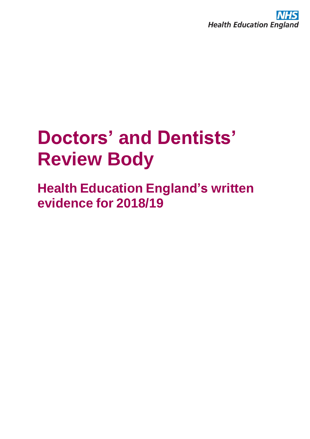

# **Doctors' and Dentists' Review Body**

**Health Education England's written evidence for 2018/19**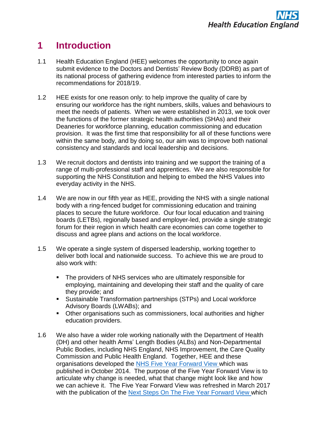# **1 Introduction**

- 1.1 Health Education England (HEE) welcomes the opportunity to once again submit evidence to the Doctors and Dentists' Review Body (DDRB) as part of its national process of gathering evidence from interested parties to inform the recommendations for 2018/19.
- 1.2 HEE exists for one reason only: to help improve the quality of care by ensuring our workforce has the right numbers, skills, values and behaviours to meet the needs of patients. When we were established in 2013, we took over the functions of the former strategic health authorities (SHAs) and their Deaneries for workforce planning, education commissioning and education provision. It was the first time that responsibility for all of these functions were within the same body, and by doing so, our aim was to improve both national consistency and standards and local leadership and decisions.
- 1.3 We recruit doctors and dentists into training and we support the training of a range of multi-professional staff and apprentices. We are also responsible for supporting the NHS Constitution and helping to embed the NHS Values into everyday activity in the NHS.
- 1.4 We are now in our fifth year as HEE, providing the NHS with a single national body with a ring-fenced budget for commissioning education and training places to secure the future workforce. Our four local education and training boards (LETBs), regionally based and employer-led, provide a single strategic forum for their region in which health care economies can come together to discuss and agree plans and actions on the local workforce.
- 1.5 We operate a single system of dispersed leadership, working together to deliver both local and nationwide success. To achieve this we are proud to also work with:
	- The providers of NHS services who are ultimately responsible for employing, maintaining and developing their staff and the quality of care they provide; and
	- Sustainable Transformation partnerships (STPs) and Local workforce Advisory Boards (LWABs); and
	- Other organisations such as commissioners, local authorities and higher education providers.
- 1.6 We also have a wider role working nationally with the Department of Health (DH) and other health Arms' Length Bodies (ALBs) and Non-Departmental Public Bodies, including NHS England, NHS Improvement, the Care Quality Commission and Public Health England. Together, HEE and these organisations developed the [NHS Five Year Forward View](https://www.england.nhs.uk/wp-content/uploads/2014/10/5yfv-web.pdf) which was published in October 2014. The purpose of the Five Year Forward View is to articulate why change is needed, what that change might look like and how we can achieve it. The Five Year Forward View was refreshed in March 2017 with the publication of the Next Steps On The [Five Year Forward View](https://www.england.nhs.uk/wp-content/uploads/2017/03/NEXT-STEPS-ON-THE-NHS-FIVE-YEAR-FORWARD-VIEW.pdf) which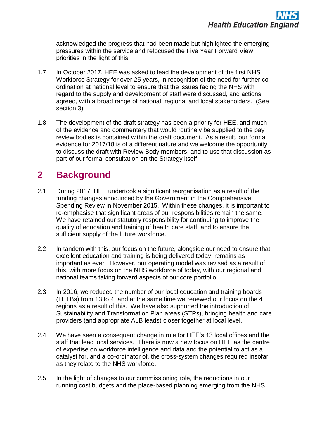acknowledged the progress that had been made but highlighted the emerging pressures within the service and refocused the Five Year Forward View priorities in the light of this.

- 1.7 In October 2017, HEE was asked to lead the development of the first NHS Workforce Strategy for over 25 years, in recognition of the need for further coordination at national level to ensure that the issues facing the NHS with regard to the supply and development of staff were discussed, and actions agreed, with a broad range of national, regional and local stakeholders. (See section 3).
- 1.8 The development of the draft strategy has been a priority for HEE, and much of the evidence and commentary that would routinely be supplied to the pay review bodies is contained within the draft document. As a result, our formal evidence for 2017/18 is of a different nature and we welcome the opportunity to discuss the draft with Review Body members, and to use that discussion as part of our formal consultation on the Strategy itself.

# **2 Background**

- 2.1 During 2017, HEE undertook a significant reorganisation as a result of the funding changes announced by the Government in the Comprehensive Spending Review in November 2015. Within these changes, it is important to re-emphasise that significant areas of our responsibilities remain the same. We have retained our statutory responsibility for continuing to improve the quality of education and training of health care staff, and to ensure the sufficient supply of the future workforce.
- 2.2 In tandem with this, our focus on the future, alongside our need to ensure that excellent education and training is being delivered today, remains as important as ever. However, our operating model was revised as a result of this, with more focus on the NHS workforce of today, with our regional and national teams taking forward aspects of our core portfolio.
- 2.3 In 2016, we reduced the number of our local education and training boards (LETBs) from 13 to 4, and at the same time we renewed our focus on the 4 regions as a result of this. We have also supported the introduction of Sustainability and Transformation Plan areas (STPs), bringing health and care providers (and appropriate ALB leads) closer together at local level.
- 2.4 We have seen a consequent change in role for HEE's 13 local offices and the staff that lead local services. There is now a new focus on HEE as the centre of expertise on workforce intelligence and data and the potential to act as a catalyst for, and a co-ordinator of, the cross-system changes required insofar as they relate to the NHS workforce.
- 2.5 In the light of changes to our commissioning role, the reductions in our running cost budgets and the place-based planning emerging from the NHS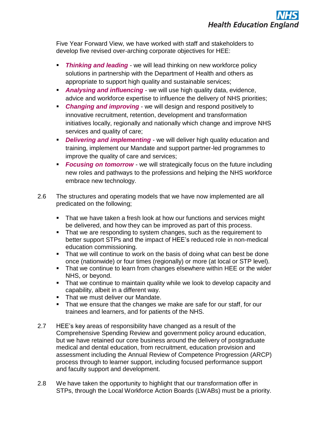Five Year Forward View, we have worked with staff and stakeholders to develop five revised over-arching corporate objectives for HEE:

- **Thinking and leading** we will lead thinking on new workforce policy solutions in partnership with the Department of Health and others as appropriate to support high quality and sustainable services;
- **Analysing and influencing** we will use high quality data, evidence, advice and workforce expertise to influence the delivery of NHS priorities;
- **Changing and improving** we will design and respond positively to innovative recruitment, retention, development and transformation initiatives locally, regionally and nationally which change and improve NHS services and quality of care;
- *Delivering and implementing* we will deliver high quality education and training, implement our Mandate and support partner-led programmes to improve the quality of care and services;
- *Focusing on tomorrow* we will strategically focus on the future including new roles and pathways to the professions and helping the NHS workforce embrace new technology.
- 2.6 The structures and operating models that we have now implemented are all predicated on the following;
	- That we have taken a fresh look at how our functions and services might be delivered, and how they can be improved as part of this process.
	- That we are responding to system changes, such as the requirement to better support STPs and the impact of HEE's reduced role in non-medical education commissioning.
	- That we will continue to work on the basis of doing what can best be done once (nationwide) or four times (regionally) or more (at local or STP level).
	- That we continue to learn from changes elsewhere within HEE or the wider NHS, or beyond.
	- That we continue to maintain quality while we look to develop capacity and capability, albeit in a different way.
	- That we must deliver our Mandate.
	- That we ensure that the changes we make are safe for our staff, for our trainees and learners, and for patients of the NHS.
- 2.7 HEE's key areas of responsibility have changed as a result of the Comprehensive Spending Review and government policy around education, but we have retained our core business around the delivery of postgraduate medical and dental education, from recruitment, education provision and assessment including the Annual Review of Competence Progression (ARCP) process through to learner support, including focused performance support and faculty support and development.
- 2.8 We have taken the opportunity to highlight that our transformation offer in STPs, through the Local Workforce Action Boards (LWABs) must be a priority.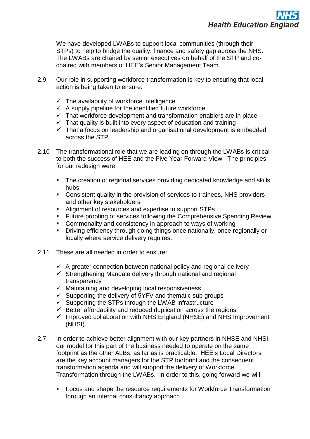We have developed LWABs to support local communities (through their STPs) to help to bridge the quality, finance and safety gap across the NHS. The LWABs are chaired by senior executives on behalf of the STP and cochaired with members of HEE's Senior Management Team.

- 2.9 Our role in supporting workforce transformation is key to ensuring that local action is being taken to ensure:
	- $\checkmark$  The availability of workforce intelligence
	- $\checkmark$  A supply pipeline for the identified future workforce
	- $\checkmark$  That workforce development and transformation enablers are in place
	- $\checkmark$  That quality is built into every aspect of education and training
	- $\checkmark$  That a focus on leadership and organisational development is embedded across the STP.
- 2.10 The transformational role that we are leading on through the LWABs is critical to both the success of HEE and the Five Year Forward View. The principles for our redesign were:
	- The creation of regional services providing dedicated knowledge and skills hubs
	- Consistent quality in the provision of services to trainees, NHS providers and other key stakeholders
	- Alignment of resources and expertise to support STPs
	- **Future proofing of services following the Comprehensive Spending Review**
	- **Commonality and consistency in approach to ways of working**
	- Driving efficiency through doing things once nationally, once regionally or locally where service delivery requires.
- 2.11 These are all needed in order to ensure:
	- $\checkmark$  A greater connection between national policy and regional delivery
	- $\checkmark$  Strengthening Mandate delivery through national and regional transparency
	- $\checkmark$  Maintaining and developing local responsiveness
	- $\checkmark$  Supporting the delivery of 5YFV and thematic sub groups
	- $\checkmark$  Supporting the STPs through the LWAB infrastructure
	- $\checkmark$  Better affordability and reduced duplication across the regions
	- $\checkmark$  Improved collaboration with NHS England (NHSE) and NHS Improvement (NHSI).
- 2.7 In order to achieve better alignment with our key partners in NHSE and NHSI, our model for this part of the business needed to operate on the same footprint as the other ALBs, as far as is practicable. HEE's Local Directors are the key account managers for the STP footprint and the consequent transformation agenda and will support the delivery of Workforce Transformation through the LWABs. In order to this, going forward we will;
	- **FICUM** Focus and shape the resource requirements for Workforce Transformation through an internal consultancy approach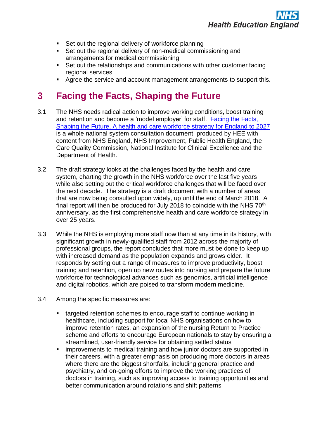- Set out the regional delivery of workforce planning
- Set out the regional delivery of non-medical commissioning and arrangements for medical commissioning
- Set out the relationships and communications with other customer facing regional services
- Agree the service and account management arrangements to support this.

### **3 Facing the Facts, Shaping the Future**

- 3.1 The NHS needs radical action to improve working conditions, boost training and retention and become a 'model employer' for staff. [Facing](https://www.hee.nhs.uk/sites/default/files/documents/Facing%20the%20Facts%2C%20Shaping%20the%20Future%20%E2%80%93%20a%20draft%20health%20and%20care%20workforce%20strategy%20for%20England%20to%202027.pdf) the Facts, Shaping the Future, A [health and care workforce strategy](https://www.hee.nhs.uk/sites/default/files/documents/Facing%20the%20Facts%2C%20Shaping%20the%20Future%20%E2%80%93%20a%20draft%20health%20and%20care%20workforce%20strategy%20for%20England%20to%202027.pdf) for England to 2027 is a whole national system consultation document, produced by HEE with content from NHS England, NHS Improvement, Public Health England, the Care Quality Commission, National Institute for Clinical Excellence and the Department of Health.
- 3.2 The draft strategy looks at the challenges faced by the health and care system, charting the growth in the NHS workforce over the last five years while also setting out the critical workforce challenges that will be faced over the next decade. The strategy is a draft document with a number of areas that are now being consulted upon widely, up until the end of March 2018. A final report will then be produced for July 2018 to coincide with the NHS  $70<sup>th</sup>$ anniversary, as the first comprehensive health and care workforce strategy in over 25 years.
- 3.3 While the NHS is employing more staff now than at any time in its history, with significant growth in newly-qualified staff from 2012 across the majority of professional groups, the report concludes that more must be done to keep up with increased demand as the population expands and grows older. It responds by setting out a range of measures to improve productivity, boost training and retention, open up new routes into nursing and prepare the future workforce for technological advances such as genomics, artificial intelligence and digital robotics, which are poised to transform modern medicine.
- 3.4 Among the specific measures are:
	- targeted retention schemes to encourage staff to continue working in healthcare, including support for local NHS organisations on how to improve retention rates, an expansion of the nursing Return to Practice scheme and efforts to encourage European nationals to stay by ensuring a streamlined, user-friendly service for obtaining settled status
	- improvements to medical training and how junior doctors are supported in their careers, with a greater emphasis on producing more doctors in areas where there are the biggest shortfalls, including general practice and psychiatry, and on-going efforts to improve the working practices of doctors in training, such as improving access to training opportunities and better communication around rotations and shift patterns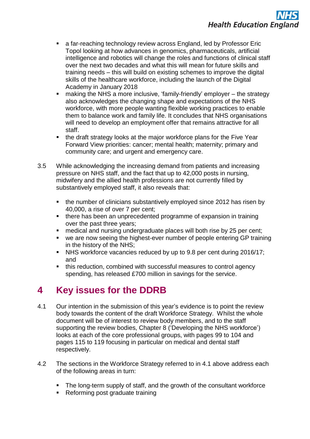- a far-reaching technology review across England, led by Professor Eric Topol looking at how advances in genomics, pharmaceuticals, artificial intelligence and robotics will change the roles and functions of clinical staff over the next two decades and what this will mean for future skills and training needs – this will build on existing schemes to improve the digital skills of the healthcare workforce, including the launch of the Digital Academy in January 2018
- making the NHS a more inclusive, 'family-friendly' employer the strategy also acknowledges the changing shape and expectations of the NHS workforce, with more people wanting flexible working practices to enable them to balance work and family life. It concludes that NHS organisations will need to develop an employment offer that remains attractive for all staff.
- the draft strategy looks at the major workforce plans for the Five Year Forward View priorities: cancer; mental health; maternity; primary and community care; and urgent and emergency care.
- 3.5 While acknowledging the increasing demand from patients and increasing pressure on NHS staff, and the fact that up to 42,000 posts in nursing, midwifery and the allied health professions are not currently filled by substantively employed staff, it also reveals that:
	- the number of clinicians substantively employed since 2012 has risen by 40,000, a rise of over 7 per cent;
	- there has been an unprecedented programme of expansion in training over the past three years;
	- medical and nursing undergraduate places will both rise by 25 per cent;
	- we are now seeing the highest-ever number of people entering GP training in the history of the NHS;
	- NHS workforce vacancies reduced by up to 9.8 per cent during 2016/17; and
	- this reduction, combined with successful measures to control agency spending, has released £700 million in savings for the service.

# **4 Key issues for the DDRB**

- 4.1 Our intention in the submission of this year's evidence is to point the review body towards the content of the draft Workforce Strategy. Whilst the whole document will be of interest to review body members, and to the staff supporting the review bodies, Chapter 8 ('Developing the NHS workforce') looks at each of the core professional groups, with pages 99 to 104 and pages 115 to 119 focusing in particular on medical and dental staff respectively.
- 4.2 The sections in the Workforce Strategy referred to in 4.1 above address each of the following areas in turn:
	- The long-term supply of staff, and the growth of the consultant workforce
	- Reforming post graduate training